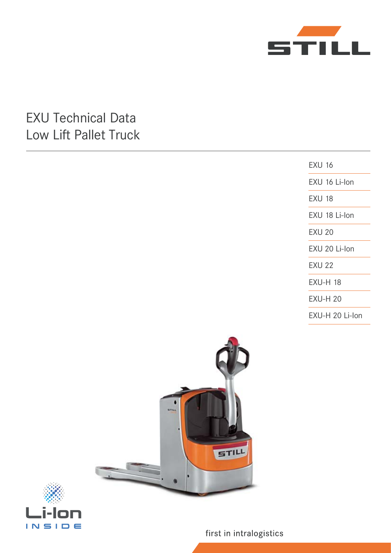

# EXU Technical Data Low Lift Pallet Truck

EXU 16 EXU 16 Li-Ion EXU 18 EXU 18 Li-Ion EXU 20 EXU 20 Li-Ion EXU 22 EXU-H 18 EXU-H 20 EXU-H 20 Li-Ion





first in intralogistics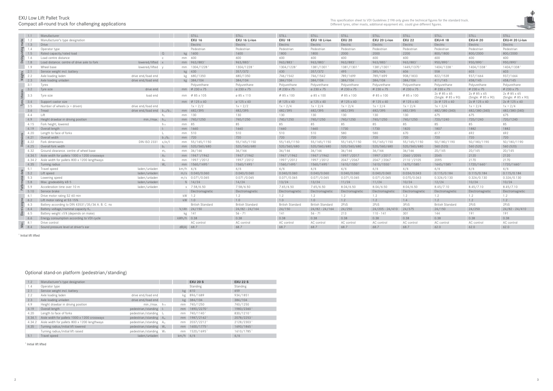

## EXU Low Lift Pallet Truck Compact all-round truck for challenging applications

| 1.2    | Manufacturer's type designation               |                     |                 |      | <b>EXU 20 S</b>        | <b>EXU 22 S</b> |
|--------|-----------------------------------------------|---------------------|-----------------|------|------------------------|-----------------|
| 1.4    | Operator type                                 |                     |                 |      | Standing               | <b>Standing</b> |
| 2.1    | Service weight incl. battery                  |                     |                 | kg   | 610                    | 659             |
| 2.2    | Axle loading laden                            | drive end/load end  |                 | kg   | 896/1689               | 934/1851        |
| 2.3    | Axle loading unladen                          | drive end/load end  |                 | kg   | 384/104                | 384/104         |
| 4.9    | Height drawbar in driving position            | min./max.           | $h_{14}$        | mm   | 740/1250               | 740/1250        |
| 4.19   | Overall length                                | pedestrian/standing | $\vert$ 1       | mm   | 1890/22701             | 1980/23601      |
| 4.20   | Length to face of forks                       | pedestrian/standing | $ 2\rangle$     | mm   | 740/11401              | 830/12101       |
| 4.34.1 | Aisle width for pallets 1000 x 1200 crossways | pedestrian/standing | A <sub>st</sub> | mm   | 1987/21621             | 2078/22531      |
| 4.34.2 | Aisle width for pallets 800 x 1200 lengthways | pedestrian/standing | A <sub>st</sub> | mm   | 2037/2212 <sup>1</sup> | 2128/23031      |
| 4.35   | Turning radius/initial lift lowered           | pedestrian/standing | $W_{\rm a}$     | mm   | 1600/17751             | 1690/18651      |
|        | Turning radius/initial lift raised            | pedestrian/standing | W <sub>a</sub>  | mm   | 1520/16951             | 1610/17851      |
| 5.1    | Travel speed                                  | laden/unladen       |                 | km/h | 6/6                    | 6/6             |

<sup>1</sup> Initial lift lifted

|                      | 1.1            | Manufacturer                                                                            |                                    |                       |              | STILL                      | STILL                         | STILL                   | STILL                         | STILL                   | STILL                            | STILL                   | STILL                                       | STILL                                           | STILL                               |
|----------------------|----------------|-----------------------------------------------------------------------------------------|------------------------------------|-----------------------|--------------|----------------------------|-------------------------------|-------------------------|-------------------------------|-------------------------|----------------------------------|-------------------------|---------------------------------------------|-------------------------------------------------|-------------------------------------|
|                      | 1.2            | Manufacturer's type designation                                                         |                                    |                       |              | <b>EXU 16</b>              | EXU 16 Li-lon                 | <b>EXU 18</b>           | EXU 18 Li-lon                 | <b>EXU 20</b>           | EXU 20 Li-lon                    | <b>EXU 22</b>           | <b>EXU-H 18</b>                             | <b>EXU-H 20</b>                                 | EXU-H 20 Li-lon                     |
|                      | 1.3            | Drive                                                                                   |                                    |                       |              | Electric                   | Electric                      | Electric                | Electric                      | Electric                | Electric                         | Electric                | Electric                                    | Electric                                        | Electric                            |
|                      | 1.4            | Operator type                                                                           |                                    |                       |              | Pedestrian                 | Pedestrian                    | Pedestrian              | Pedestrian                    | Pedestrian              | Pedestrian                       | Pedestrian              | Pedestrian                                  | Pedestrian                                      | Pedestrian                          |
|                      | 1.5            | Rated capacity/rated load                                                               |                                    | $\Omega$              |              | kg 1600                    | 1600                          | 1800                    | 1800                          | 2000                    | 2000                             | 2200                    | 800/1800                                    | 800/2000                                        | 800/2000                            |
|                      | 1.6            | Load centre distance                                                                    |                                    | $\mathbb{C}$          | mm           | 600                        | 600                           | 600                     | 600                           | 600                     | 600                              | 600                     | 600                                         | 600                                             | 600                                 |
|                      | $\ddot{a}$ 1.8 | Load distance. centre of drive axle to fork                                             | lowered/lifted x                   |                       |              | mm 963/883                 | 963/883                       | 963/8831                | 963/8831                      | 963/883                 | 963/8831                         | 963/883                 | 950/8901                                    | 950/8901                                        | 950/8901                            |
|                      | 1.9            | Wheel base                                                                              | lowered/lifted                     |                       |              | mm 1304/1228               | 1304/1228                     | 1304/1228               | 1381/1301                     | 1381/1301               | 1381/1301                        | 1449/1370               | 1404/1338                                   | 1404/13381                                      | 1404/1338                           |
|                      | 2.1            | Service weight incl. battery                                                            |                                    |                       |              | kg 430                     | 357/372                       | 430                     | 357/372                       | 495                     | 385/426                          | 606                     | 558                                         | 603                                             | 603                                 |
|                      | 2.2            | Axle loading laden                                                                      | drive end/load end                 |                       |              | kg 680/1350                | 680/1350                      | 746/1542                | 746/1542                      | 789/1699                | 789/1699                         | 908/1833                | 822/1539                                    | 937/1664                                        | 937/1664                            |
|                      | 2.3            | Axle loading unladen                                                                    | drive end/load end                 |                       |              | kg 384/104                 | 384/104                       | 384/104                 | 384/104                       | 384/104                 | 384/104                          | 384/104                 | 411/145                                     | 458/145                                         | 458/145                             |
|                      | 3.1            | Tyres                                                                                   |                                    |                       |              | Polyurethane               | Polyurethane                  | Polyurethane            | Polyurethane                  | Polyurethane            | Polyurethane                     | Polyurethane            | Polyurethane                                | Polyurethane                                    | Polyurethane                        |
|                      | 3.2            | Tyre size                                                                               | drive end                          |                       |              | mm Ø 230 x 75              | Ø 230 x 75                    | $\phi$ 230 x 75         | Ø 230 x 75                    | $\phi$ 230 x 75         | $\varphi$ 230 x 75               | $\varphi$ 230 x 75      | $\varphi$ 230 x 75                          | $\varphi$ 230 x 75                              | $\phi$ 230 x 75                     |
|                      | 3.3            | Tyre size                                                                               | load end                           |                       |              | mm Ø 85 x 105              | Ø 85 x 110                    | $\varphi$ 85 x 100      | Ø 85 x 100                    | $\emptyset$ 85 x 100    | Ø 85 x 100                       | $\varphi$ 85 x 100      | 2x Ø 85 x 65<br>(Single: $\varphi$ 85 x 90) | 2x Ø 85 x 65<br>(Single: $\varnothing$ 85 x 90) | 2x Ø 85 x 65<br>(Single: Ø 85 x 90) |
|                      | 3.4            | Support castor size                                                                     |                                    |                       |              | mm $\emptyset$ 125 x 40    | Ø 125 x 40                    | $\emptyset$ 125 x 40    | $\varnothing$ 125 x 40        | $\emptyset$ 125 x 40    | $\emptyset$ 125 x 40             | $\emptyset$ 125 x 40    | 2x Ø 125 x 40                               | 2x Ø 125 x 40                                   | 2x Ø 125 x 40                       |
|                      | 3.5            | Number of wheels $(x =$ driven)                                                         | drive end/load end                 |                       |              | $1x + 2/2$                 | $1x + 2/2$                    | $1x + 2/4$              | $1x + 2/4$                    | $1x + 2/4$              | $1x + 2/4$                       | $1x + 2/4$              | $1x + 2/4$                                  | $1x + 2/4$                                      | $1x + 2/4$                          |
|                      | 3.6            | Tread                                                                                   | drive end/load end $b_{10}/b_{11}$ |                       |              | mm 482/395                 | 482/395                       | 482/395                 | 482/395                       | 482/395                 | 482/395                          | 482/395                 | 482/380 (340)                               | 482/380 (340)                                   | 482/380 (340)                       |
|                      | 4.4            | l ift                                                                                   |                                    |                       |              | mm 130                     | 130                           | 130                     | 130                           | 130                     | 130                              | 130                     | 675                                         | 675                                             | 675                                 |
|                      | 4.9            | Height drawbar in driving position                                                      | min./max. $h_{14}$                 |                       |              | mm 740/1250                | 740/1250                      | 740/1250                | 740/1250                      | 740/1250                | 740/1250                         | 740/1250                | 720/1240                                    | 720/1240                                        | 720/1240                            |
|                      | 4.15           | Fork height, lowered                                                                    |                                    | $h_{13}$              | mm 85        |                            | 85                            | 85                      | 85                            | 85                      | 85                               | 85                      | 85                                          | 85                                              | 85                                  |
|                      | 4.19           | Overall length                                                                          |                                    | $\vert \cdot \vert_1$ |              | mm 1660                    | 1660                          | 1660                    | 1660                          | 1730                    | 1730                             | 1820                    | 1807                                        | 1882                                            | 1882                                |
|                      | 4.20           | Length to face of forks                                                                 |                                    |                       |              | mm 510                     | 510                           | 510                     | 510                           | 580                     | 580                              | 670                     | 617                                         | 692                                             | 692                                 |
|                      | 4.21           | Overall width                                                                           |                                    | $b_1/b_2$             |              | mm 720                     | 720                           | 720                     | 720                           | 720                     | 720                              | 720                     | 720                                         | 720                                             | 720                                 |
|                      | 4.22           | Fork dimensions                                                                         | <b>DIN ISO 2331</b>                | s/e/l                 |              | mm 55/165/1150             | 55/165/1150                   | 55/165/1150             | 55/165/1150                   | 55/165/1150             | 55/165/1150                      | 55/165/1150             | 50/180/1190                                 | 50/180/1190                                     | 50/180/1190                         |
|                      | 4.25           | Overall fork width                                                                      |                                    | b <sub>5</sub>        |              | mm 520/560/680             | 520/560/680                   | 520/560/680             | 520/560/680                   | 520/560/680             | 520/560/680                      | 520/560/680             | 560 (520)                                   | 560 (520)                                       | 560 (520)                           |
|                      | 4.32           | Ground clearance. centre of wheel base                                                  |                                    | m <sub>2</sub>        |              | mm 36/166                  | 36/166                        | 36/166                  | 36/166                        | 36/166                  | 36/166                           | 36/166                  | 20/145                                      | 20/145                                          | 20/145                              |
|                      | 4.34.1         | Aisle width for pallets 1000 x 1200 crossways                                           |                                    | $A_{st}$              |              | mm 1947 <sup>1</sup> /1962 | 19471/1962                    | 19471/1962              | 19471/1962                    | 19971/2017              | 19971/2017                       | 20601/2055              | 2045                                        | 2120                                            | 2120                                |
|                      | 4.34.2         | Aisle width for pallets 800 x 1200 lengthways                                           |                                    | $A_{\rm st}$          |              | mm 1997 <sup>1</sup> /2012 | 1997 <sup>1</sup> /2012       | 19971/2012              | 19971/2012                    | 2047 <sup>1</sup> /2067 | 2047 <sup>1</sup> /2067          | 2110 <sup>1</sup> /2105 | 2095                                        | 2170                                            | 2170                                |
|                      | 4.35           | Turning radius                                                                          |                                    | $W_{\rm a}$           | mm           | 1560/14951                 | 1560/1495                     | 1560/14951              | 1560/1495                     | 1610/15501              | 1610/1550                        | 1670/15851              | 1645/1585                                   | 1720/16601                                      | 1720/1660                           |
|                      | 5.1            | Travel speed                                                                            | laden/unladen                      |                       | km/h         | 6/6                        | 6/6                           | 6/6                     | 6/6                           | 6/6                     | 6/6                              | 6/6                     | 6/6                                         | 6/6                                             | 6/6                                 |
|                      | 5.2            | Lift speed                                                                              | laden/unladen                      |                       |              | m/s 0.040/0.060            | 0.040/0.060                   | 0.040/0.060             | 0.040/0.060                   | 0.040/0.060             | 0.040/0.060                      | 0.034/0.043             | 0.115/0.184                                 | 0.115/0.184                                     | 0.115/0.184                         |
|                      | 5.3            | Lowering speed                                                                          | laden/unladen                      |                       |              | m/s 0.071/0.065            | 0.071/0.065                   | 0.071/0.065             | 0.071/0.065                   | 0.071/0.065             | 0.071/0.065                      | 0.070/0.063             | 0.326/0.130                                 | 0.326/0.130                                     | 0.326/0.130                         |
|                      | 5.8            | Max. gradeability kB 5                                                                  | laden/unladen                      |                       |              | % 14/24                    | 14/24                         | 13/24                   | 13/24                         | 11/24                   | 11/24                            | 10/24                   | 12/24                                       | 10/24                                           | 10/24                               |
|                      | 5.9            | Acceleration time over 10 m                                                             | laden/unladen                      |                       |              | s 7.58/6.50                | 7.58/6.50                     | 7.65/6.50               | 7.65/6.50                     | 8.04/6.50               | 8.04/6.50                        | 8.04/6.50               | 8.45/7.10                                   | 8.45/7.10                                       | 8.45/7.10                           |
|                      | 5.10           | Service brake                                                                           |                                    |                       |              | Electromagnetic            | Electromagnetic               | Electromagnetic         | Electromagnetic               | Electromagnetic         | Electromagnetic                  | Electromagnetic         | Electromagnetic                             | Electromagnetic                                 | Electromagnetic                     |
| $\overline{\ge}$ 8.4 | 6.1            | Drive motor rating S2 60 min                                                            |                                    |                       |              | kW 1.2<br>$kW = 1.0$       | 1.2<br>1.0                    | 1.2<br>1.0              | 1.2<br>1.0                    | 1.2<br>1.2              | 1.2                              | 1.2<br>1.4              | 1.2<br>1.2                                  | 1.2                                             | 1.2<br>1.2                          |
|                      | 6.2            | Lift motor rating at S3 15%                                                             |                                    |                       |              |                            |                               |                         |                               |                         | 1.2                              |                         |                                             | 1.2                                             |                                     |
|                      | 6.3            | Battery according to DIN 43531/35/36 A. B. C. no                                        |                                    |                       |              | <b>British Standard</b>    | <b>British Standard</b>       | <b>British Standard</b> | <b>British Standard</b>       | 2PzS                    | 2PzS                             | 3PzS                    | <b>British Standard</b>                     | 2PzS                                            | 2PzS                                |
|                      | 6.4<br>6.5     | Battery voltage/nominal capacity K <sub>5</sub><br>Battery weight ±5% (depends on make) |                                    |                       |              | V/Ah 24/150                | $24/82 - 24/164$<br>$56 - 71$ | 24/150<br>141           | $24/82 - 24/164$<br>$56 - 71$ | 24/250<br>213           | $24/205 - 24/410$<br>$110 - 141$ | 24/375<br>301           | 24/150<br>144                               | 24/250<br>191                                   | $24/82 - 24/410$<br>191             |
|                      | 6.6            | Energy consumption according to VDI cycle                                               |                                    |                       | kWh/h 0.38   | kg 141                     | 0.38                          | 0.38                    | 0.38                          | 0.38                    | 0.38                             | 0.38                    | 0.38                                        | 0.38                                            | 0.38                                |
|                      | 8.1            | Drive control                                                                           |                                    |                       |              | AC control                 | AC control                    | AC control              | AC control                    | AC control              | AC control                       | AC control              | AC control                                  | AC control                                      | AC control                          |
|                      |                | Sound pressure level at driver's ear                                                    |                                    |                       | $dB(A)$ 68.7 |                            | 68.7                          | 68.7                    | 68.7                          | 68.7                    | 68.7                             | 68.7                    | 62.0                                        | 62.0                                            | 62.0                                |
|                      |                |                                                                                         |                                    |                       |              |                            |                               |                         |                               |                         |                                  |                         |                                             |                                                 |                                     |

<sup>1</sup> Initial lift lifted

# Optional stand-on platform (pedestrian/standing)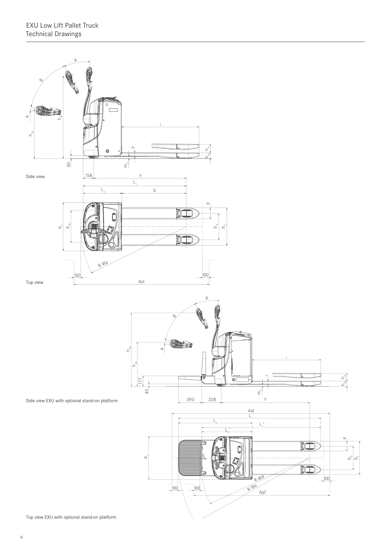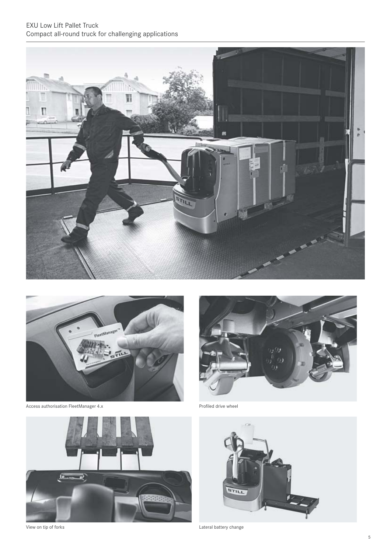## EXU Low Lift Pallet Truck Compact all-round truck for challenging applications





Access authorisation FleetManager 4.x extending the extendio of the Profiled drive wheel



View on tip of forks **Lateral battery change** 



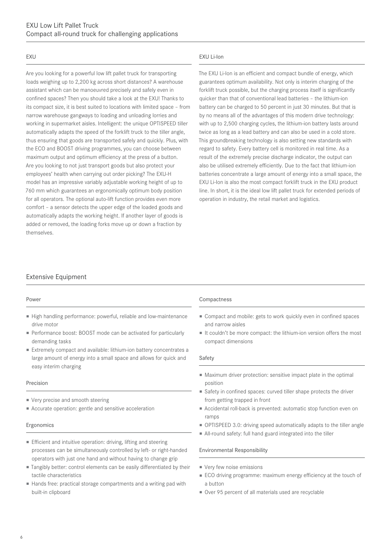#### EXU

Are you looking for a powerful low lift pallet truck for transporting loads weighing up to 2,200 kg across short distances? A warehouse assistant which can be manoeuvred precisely and safely even in confined spaces? Then you should take a look at the EXU! Thanks to its compact size, it is best suited to locations with limited space – from narrow warehouse gangways to loading and unloading lorries and working in supermarket aisles. Intelligent: the unique OPTISPEED tiller automatically adapts the speed of the forklift truck to the tiller angle, thus ensuring that goods are transported safely and quickly. Plus, with the ECO and BOOST driving programmes, you can choose between maximum output and optimum efficiency at the press of a button. Are you looking to not just transport goods but also protect your employees' health when carrying out order picking? The EXU-H model has an impressive variably adjustable working height of up to 760 mm which guarantees an ergonomically optimum body position for all operators. The optional auto-lift function provides even more comfort – a sensor detects the upper edge of the loaded goods and automatically adapts the working height. If another layer of goods is added or removed, the loading forks move up or down a fraction by themselves.

#### EXU Li-Ion

The EXU Li-Ion is an efficient and compact bundle of energy, which guarantees optimum availability. Not only is interim charging of the forklift truck possible, but the charging process itself is significantly quicker than that of conventional lead batteries – the lithium-ion battery can be charged to 50 percent in just 30 minutes. But that is by no means all of the advantages of this modern drive technology: with up to 2,500 charging cycles, the lithium-ion battery lasts around twice as long as a lead battery and can also be used in a cold store. This groundbreaking technology is also setting new standards with regard to safety. Every battery cell is monitored in real time. As a result of the extremely precise discharge indicator, the output can also be utilised extremely efficiently. Due to the fact that lithium-ion batteries concentrate a large amount of energy into a small space, the EXU Li-Ion is also the most compact forklift truck in the EXU product line. In short, it is the ideal low lift pallet truck for extended periods of operation in industry, the retail market and logistics.

### Extensive Equipment

#### Power

- High handling performance: powerful, reliable and low-maintenance drive motor
- Performance boost: BOOST mode can be activated for particularly demanding tasks
- Extremely compact and available: lithium-ion battery concentrates a large amount of energy into a small space and allows for quick and easy interim charging

#### Precision

- Very precise and smooth steering
- Accurate operation: gentle and sensitive acceleration

#### Ergonomics

- Efficient and intuitive operation: driving, lifting and steering processes can be simultaneously controlled by left- or right-handed operators with just one hand and without having to change grip
- Tangibly better: control elements can be easily differentiated by their tactile characteristics
- Hands free: practical storage compartments and a writing pad with built-in clipboard

#### Compactness

- Compact and mobile: gets to work quickly even in confined spaces and narrow aisles
- It couldn't be more compact: the lithium-ion version offers the most compact dimensions

#### Safety

- Maximum driver protection: sensitive impact plate in the optimal position
- Safety in confined spaces: curved tiller shape protects the driver from getting trapped in front
- Accidental roll-back is prevented: automatic stop function even on ramps
- OPTISPEED 3.0: driving speed automatically adapts to the tiller angle
- All-round safety: full hand guard integrated into the tiller

#### Environmental Responsibility

- Very few noise emissions
- ECO driving programme: maximum energy efficiency at the touch of a button
- Over 95 percent of all materials used are recyclable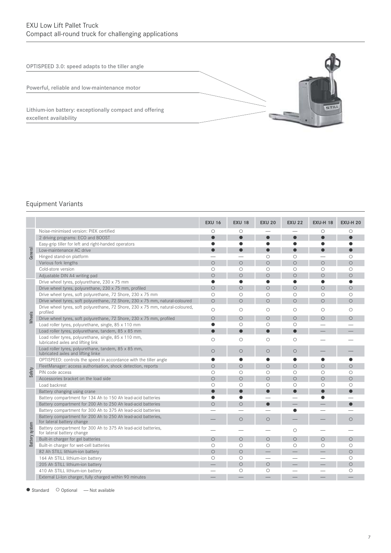OPTISPEED 3.0: speed adapts to the tiller angle

Powerful, reliable and low-maintenance motor

Lithium-ion battery: exceptionally compact and offering excellent availability

### Equipment Variants

|                |                                                                                             | <b>EXU 16</b>  | <b>EXU 18</b> | <b>EXU 20</b> | <b>EXU 22</b> | <b>EXU-H 18</b> | <b>EXU-H 20</b> |
|----------------|---------------------------------------------------------------------------------------------|----------------|---------------|---------------|---------------|-----------------|-----------------|
| General        | Noise-minimised version: PIEK certified                                                     | О              | $\circ$       |               |               | О               | Ο               |
|                | 2 driving programs: ECO and BOOST                                                           |                |               |               |               |                 |                 |
|                | Easy-grip tiller for left and right-handed operators                                        |                | ●             | $\bullet$     | $\bullet$     | $\bullet$       |                 |
|                | Low-maintenance AC drive                                                                    |                |               |               |               |                 |                 |
|                | Hinged stand-on platform                                                                    |                |               | $\circ$       | $\circ$       |                 | $\circ$         |
|                | Various fork lengths                                                                        | $\circ$        | $\circ$       | $\circ$       | $\circ$       | $\circ$         | $\circ$         |
|                | Cold-store version                                                                          | $\circ$        | $\circ$       | $\circ$       | $\circ$       | $\circ$         | $\circ$         |
|                | Adjustable DIN A4 writing pad                                                               | $\circ$        | $\circ$       | $\circ$       | $\circ$       | $\circ$         | $\circ$         |
|                | Drive wheel tyres, polyurethane, 230 x 75 mm                                                | $\bullet$      | $\bullet$     | $\bullet$     | $\bullet$     | $\bullet$       | ●               |
|                | Drive wheel tyres, polyurethane, 230 x 75 mm, profiled                                      | $\circ$        | $\circ$       | $\circ$       | $\circ$       | $\circ$         | $\circ$         |
|                | Drive wheel tyres, soft polyurethane, 72 Shore, 230 x 75 mm                                 | $\circ$        | $\circ$       | $\circ$       | $\circ$       | $\circ$         | $\circ$         |
|                | Drive wheel tyres, soft polyurethane, 72 Shore, 230 x 75 mm, natural-coloured               | $\overline{O}$ | $\circ$       | $\circ$       | $\circ$       | $\circ$         | $\circ$         |
|                | Drive wheel tyres, soft polyurethane, 72 Shore, 230 x 75 mm, natural-coloured,<br>profiled  | $\circ$        | $\circ$       | $\circ$       | $\circ$       | $\circ$         | $\circ$         |
| Wheels         | Drive wheel tyres, soft polyurethane, 72 Shore, 230 x 75 mm, profiled                       | $\circ$        | $\circ$       | $\circ$       | $\circ$       | $\circ$         | $\circ$         |
|                | Load roller tyres, polyurethane, single, 85 x 110 mm                                        | $\bullet$      | $\circ$       | $\circ$       | $\circ$       |                 |                 |
|                | Load roller tyres, polyurethane, tandem, 85 x 85 mm                                         | $\bullet$      | $\bullet$     | $\bullet$     | $\bullet$     |                 |                 |
|                | Load roller tyres, polyurethane, single, 85 x 110 mm,<br>lubricated axles and lifting link  | $\circ$        | $\circ$       | $\circ$       | $\circ$       |                 |                 |
|                | Load roller tyres, polyurethane, tandem, 85 x 85 mm,<br>lubricated axles and lifting linke  | $\circ$        | $\circ$       | $\circ$       | $\circ$       |                 |                 |
|                | OPTISPEED: controls the speed in accordance with the tiller angle                           |                | 0             | 0             |               |                 |                 |
|                | FleetManager: access authorisation, shock detection, reports                                | $\circ$        | $\circ$       | $\circ$       | $\circ$       | $\circ$         | $\circ$         |
| Safety         | PIN code access                                                                             | $\circ$        | $\circ$       | $\circ$       | $\circ$       | $\circ$         | $\circ$         |
|                | Accessories bracket on the load side                                                        | $\circ$        | $\circ$       | $\circ$       | $\circ$       | $\circ$         | $\circ$         |
|                | Load backrest                                                                               | $\circ$        | $\circ$       | $\circ$       | $\circ$       | $\circ$         | $\circ$         |
|                | Battery changing using crane                                                                | $\bullet$      | Ō             | $\bullet$     | $\bullet$     | $\bullet$       | $\bullet$       |
|                | Battery compartment for 134 Ah to 150 Ah lead-acid batteries                                |                | $\bullet$     |               |               |                 |                 |
|                | Battery compartment for 200 Ah to 250 Ah lead-acid batteries                                | $\circ$        | $\circ$       | $\bullet$     |               |                 | $\bullet$       |
|                | Battery compartment for 300 Ah to 375 Ah lead-acid batteries                                |                |               |               |               |                 |                 |
| Battery system | Battery compartment for 200 Ah to 250 Ah lead-acid batteries,<br>for lateral battery change |                | $\circ$       | $\circ$       |               |                 | $\circ$         |
|                | Battery compartment for 300 Ah to 375 Ah lead-acid batteries,<br>for lateral battery change |                |               |               | $\circ$       |                 |                 |
|                | Built-in charger for gel batteries                                                          | $\circ$        | $\circ$       | $\bigcirc$    | $\circ$       | $\circ$         | $\circ$         |
|                | Built-in charger for wet-cell batteries                                                     | $\circ$        | $\circ$       | $\circ$       | $\circ$       | $\circ$         | $\circ$         |
|                | 82 Ah STILL lithium-ion battery                                                             | $\circ$        | $\circ$       |               |               |                 | $\circ$         |
|                | 164 Ah STILL lithium-ion battery                                                            | $\circ$        | $\circ$       |               |               |                 | $\circ$         |
|                | 205 Ah STILL lithium-ion battery                                                            |                | $\circ$       | $\circ$       |               |                 | $\circ$         |
|                | 410 Ah STILL lithium-ion battery                                                            |                | $\circ$       | $\circ$       |               |                 | O               |
|                | External Li-lon charger, fully charged within 90 minutes                                    |                |               |               |               |                 |                 |

● Standard ○ Optional — Not available

**STILL**